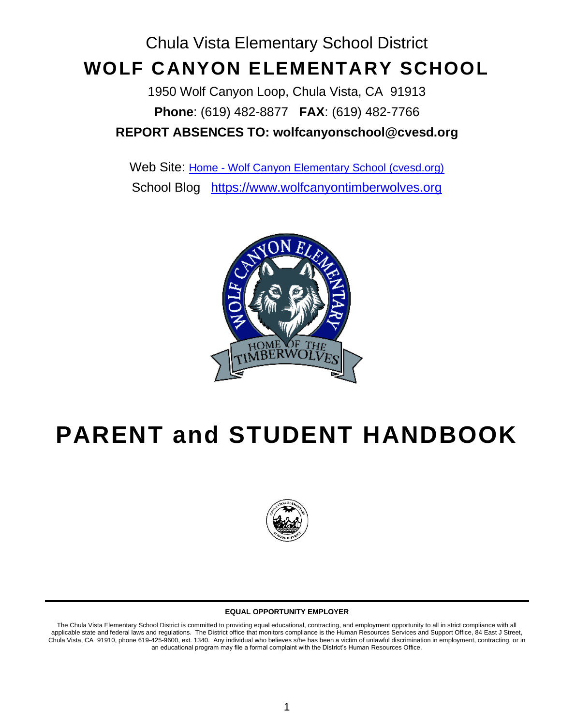# Chula Vista Elementary School District **WOLF CANYON ELEMENTARY SCHOOL**

1950 Wolf Canyon Loop, Chula Vista, CA 91913 **Phone**: (619) 482-8877 **FAX**: (619) 482-7766 **REPORT ABSENCES TO: wolfcanyonschool@cvesd.org**

Web Site: Home - [Wolf Canyon Elementary School \(cvesd.org\)](https://wolfcanyon.cvesd.org/) School Blog [https://www.wolfcanyontimberwolves.org](https://www.wolfcanyontimberwolves.org/)



# **PARENT and STUDENT HANDBOOK**



#### **EQUAL OPPORTUNITY EMPLOYER**

The Chula Vista Elementary School District is committed to providing equal educational, contracting, and employment opportunity to all in strict compliance with all applicable state and federal laws and regulations. The District office that monitors compliance is the Human Resources Services and Support Office, 84 East J Street, Chula Vista, CA 91910, phone 619-425-9600, ext. 1340. Any individual who believes s/he has been a victim of unlawful discrimination in employment, contracting, or in an educational program may file a formal complaint with the District's Human Resources Office.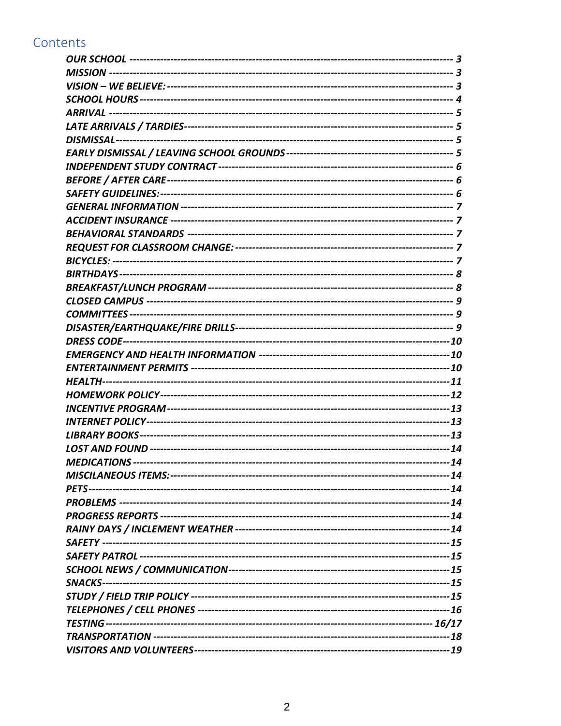## Contents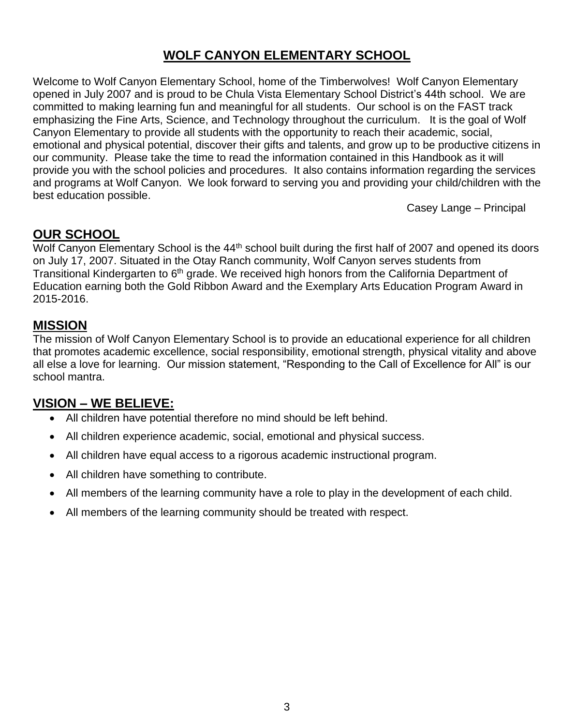### **WOLF CANYON ELEMENTARY SCHOOL**

Welcome to Wolf Canyon Elementary School, home of the Timberwolves! Wolf Canyon Elementary opened in July 2007 and is proud to be Chula Vista Elementary School District's 44th school. We are committed to making learning fun and meaningful for all students. Our school is on the FAST track emphasizing the Fine Arts, Science, and Technology throughout the curriculum. It is the goal of Wolf Canyon Elementary to provide all students with the opportunity to reach their academic, social, emotional and physical potential, discover their gifts and talents, and grow up to be productive citizens in our community. Please take the time to read the information contained in this Handbook as it will provide you with the school policies and procedures. It also contains information regarding the services and programs at Wolf Canyon. We look forward to serving you and providing your child/children with the best education possible.

Casey Lange – Principal

#### <span id="page-2-0"></span>**OUR SCHOOL**

Wolf Canyon Elementary School is the 44<sup>th</sup> school built during the first half of 2007 and opened its doors on July 17, 2007. Situated in the Otay Ranch community, Wolf Canyon serves students from Transitional Kindergarten to 6<sup>th</sup> grade. We received high honors from the California Department of Education earning both the Gold Ribbon Award and the Exemplary Arts Education Program Award in 2015-2016.

### <span id="page-2-1"></span>**MISSION**

The mission of Wolf Canyon Elementary School is to provide an educational experience for all children that promotes academic excellence, social responsibility, emotional strength, physical vitality and above all else a love for learning. Our mission statement, "Responding to the Call of Excellence for All" is our school mantra.

### <span id="page-2-2"></span>**VISION – WE BELIEVE:**

- All children have potential therefore no mind should be left behind.
- All children experience academic, social, emotional and physical success.
- All children have equal access to a rigorous academic instructional program.
- All children have something to contribute.
- All members of the learning community have a role to play in the development of each child.
- All members of the learning community should be treated with respect.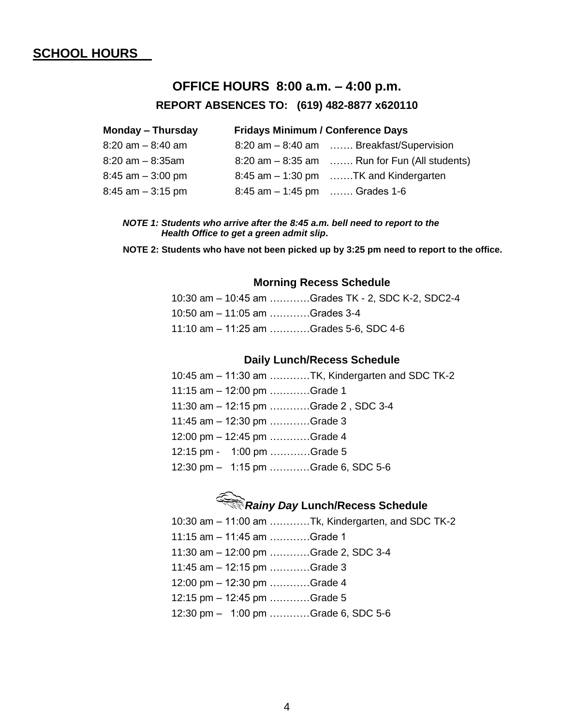#### <span id="page-3-0"></span>**SCHOOL HOURS**

### **OFFICE HOURS 8:00 a.m. – 4:00 p.m. REPORT ABSENCES TO: (619) 482-8877 x620110**

| <b>Monday - Thursday</b> | <b>Fridays Minimum / Conference Days</b> |                                                  |
|--------------------------|------------------------------------------|--------------------------------------------------|
| $8:20$ am $-8:40$ am     |                                          | 8:20 am - 8:40 am  Breakfast/Supervision         |
| $8:20$ am $-8:35$ am     |                                          | $8:20$ am $-8:35$ am  Run for Fun (All students) |
| $8:45$ am $-3:00$ pm     |                                          | $8:45$ am $-1:30$ pm TK and Kindergarten         |
| $8:45$ am $-3:15$ pm     | 8:45 am $-1:45$ pm  Grades 1-6           |                                                  |

#### *NOTE 1: Students who arrive after the 8:45 a.m. bell need to report to the Health Office to get a green admit slip.*

**NOTE 2: Students who have not been picked up by 3:25 pm need to report to the office.**

#### **Morning Recess Schedule**

|                                  | 10:30 am - 10:45 am Grades TK - 2, SDC K-2, SDC2-4 |
|----------------------------------|----------------------------------------------------|
| 10:50 am $-$ 11:05 am Grades 3-4 |                                                    |
|                                  | 11:10 am - 11:25 am Grades 5-6, SDC 4-6            |

#### **Daily Lunch/Recess Schedule**

| 10:45 am – 11:30 am TK, Kindergarten and SDC TK-2 |  |
|---------------------------------------------------|--|
| 11:15 am $-$ 12:00 pm Grade 1                     |  |
| 11:30 am – 12:15 pm Grade 2, SDC 3-4              |  |
| 11:45 am $-$ 12:30 pm Grade 3                     |  |
| 12:00 pm $-$ 12:45 pm Grade 4                     |  |
| 12:15 pm - 1:00 pm Grade 5                        |  |
| 12:30 pm - 1:15 pm Grade 6, SDC 5-6               |  |
|                                                   |  |

### *Rainy Day* **Lunch/Recess Schedule**  $10.30$  am  $-11.00$  am  $\overline{L}$  Kindergarten, and SDC TK-2

|                                      | 10:30 am – 11:00 am  Ik, Kindergarten, and SDC TK-2 |
|--------------------------------------|-----------------------------------------------------|
| 11:15 am $-$ 11:45 am Grade 1        |                                                     |
| 11:30 am - 12:00 pm Grade 2, SDC 3-4 |                                                     |
| 11:45 am $-$ 12:15 pm Grade 3        |                                                     |
| 12:00 pm - 12:30 pm Grade 4          |                                                     |
| 12:15 pm $-$ 12:45 pm Grade 5        |                                                     |
| 12:30 pm - 1:00 pm Grade 6, SDC 5-6  |                                                     |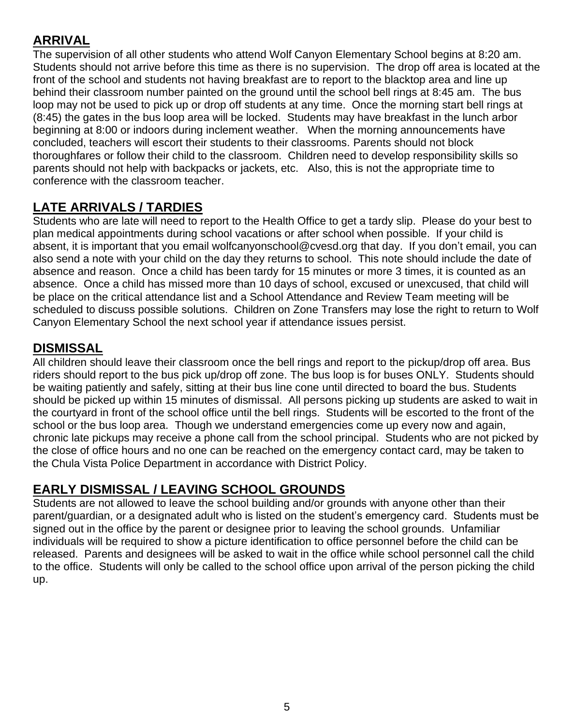### <span id="page-4-0"></span>**ARRIVAL**

The supervision of all other students who attend Wolf Canyon Elementary School begins at 8:20 am. Students should not arrive before this time as there is no supervision. The drop off area is located at the front of the school and students not having breakfast are to report to the blacktop area and line up behind their classroom number painted on the ground until the school bell rings at 8:45 am. The bus loop may not be used to pick up or drop off students at any time. Once the morning start bell rings at (8:45) the gates in the bus loop area will be locked.Students may have breakfast in the lunch arbor beginning at 8:00 or indoors during inclement weather. When the morning announcements have concluded, teachers will escort their students to their classrooms. Parents should not block thoroughfares or follow their child to the classroom. Children need to develop responsibility skills so parents should not help with backpacks or jackets, etc. Also, this is not the appropriate time to conference with the classroom teacher.

## <span id="page-4-1"></span>**LATE ARRIVALS / TARDIES**

Students who are late will need to report to the Health Office to get a tardy slip. Please do your best to plan medical appointments during school vacations or after school when possible. If your child is absent, it is important that you email wolfcanyonschool@cvesd.org that day. If you don't email, you can also send a note with your child on the day they returns to school. This note should include the date of absence and reason. Once a child has been tardy for 15 minutes or more 3 times, it is counted as an absence. Once a child has missed more than 10 days of school, excused or unexcused, that child will be place on the critical attendance list and a School Attendance and Review Team meeting will be scheduled to discuss possible solutions. Children on Zone Transfers may lose the right to return to Wolf Canyon Elementary School the next school year if attendance issues persist.

### <span id="page-4-2"></span>**DISMISSAL**

All children should leave their classroom once the bell rings and report to the pickup/drop off area. Bus riders should report to the bus pick up/drop off zone. The bus loop is for buses ONLY. Students should be waiting patiently and safely, sitting at their bus line cone until directed to board the bus. Students should be picked up within 15 minutes of dismissal. All persons picking up students are asked to wait in the courtyard in front of the school office until the bell rings. Students will be escorted to the front of the school or the bus loop area. Though we understand emergencies come up every now and again, chronic late pickups may receive a phone call from the school principal. Students who are not picked by the close of office hours and no one can be reached on the emergency contact card, may be taken to the Chula Vista Police Department in accordance with District Policy.

### <span id="page-4-3"></span>**EARLY DISMISSAL / LEAVING SCHOOL GROUNDS**

Students are not allowed to leave the school building and/or grounds with anyone other than their parent/guardian, or a designated adult who is listed on the student's emergency card. Students must be signed out in the office by the parent or designee prior to leaving the school grounds. Unfamiliar individuals will be required to show a picture identification to office personnel before the child can be released. Parents and designees will be asked to wait in the office while school personnel call the child to the office. Students will only be called to the school office upon arrival of the person picking the child up.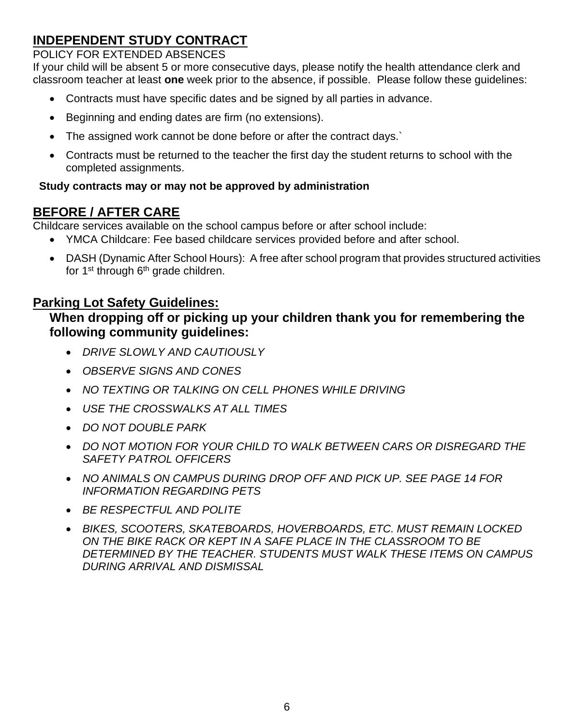### <span id="page-5-0"></span>**INDEPENDENT STUDY CONTRACT**

#### POLICY FOR EXTENDED ABSENCES

If your child will be absent 5 or more consecutive days, please notify the health attendance clerk and classroom teacher at least **one** week prior to the absence, if possible. Please follow these guidelines:

- Contracts must have specific dates and be signed by all parties in advance.
- Beginning and ending dates are firm (no extensions).
- The assigned work cannot be done before or after the contract days.`
- Contracts must be returned to the teacher the first day the student returns to school with the completed assignments.

#### **Study contracts may or may not be approved by administration**

### <span id="page-5-1"></span>**BEFORE / AFTER CARE**

Childcare services available on the school campus before or after school include:

- YMCA Childcare: Fee based childcare services provided before and after school.
- DASH (Dynamic After School Hours): A free after school program that provides structured activities for 1<sup>st</sup> through 6<sup>th</sup> grade children.

### <span id="page-5-2"></span>**Parking Lot Safety Guidelines:**

### **When dropping off or picking up your children thank you for remembering the following community guidelines:**

- *DRIVE SLOWLY AND CAUTIOUSLY*
- *OBSERVE SIGNS AND CONES*
- *NO TEXTING OR TALKING ON CELL PHONES WHILE DRIVING*
- *USE THE CROSSWALKS AT ALL TIMES*
- *DO NOT DOUBLE PARK*
- *DO NOT MOTION FOR YOUR CHILD TO WALK BETWEEN CARS OR DISREGARD THE SAFETY PATROL OFFICERS*
- *NO ANIMALS ON CAMPUS DURING DROP OFF AND PICK UP. SEE PAGE 14 FOR INFORMATION REGARDING PETS*
- *BE RESPECTFUL AND POLITE*
- *BIKES, SCOOTERS, SKATEBOARDS, HOVERBOARDS, ETC. MUST REMAIN LOCKED ON THE BIKE RACK OR KEPT IN A SAFE PLACE IN THE CLASSROOM TO BE DETERMINED BY THE TEACHER. STUDENTS MUST WALK THESE ITEMS ON CAMPUS DURING ARRIVAL AND DISMISSAL*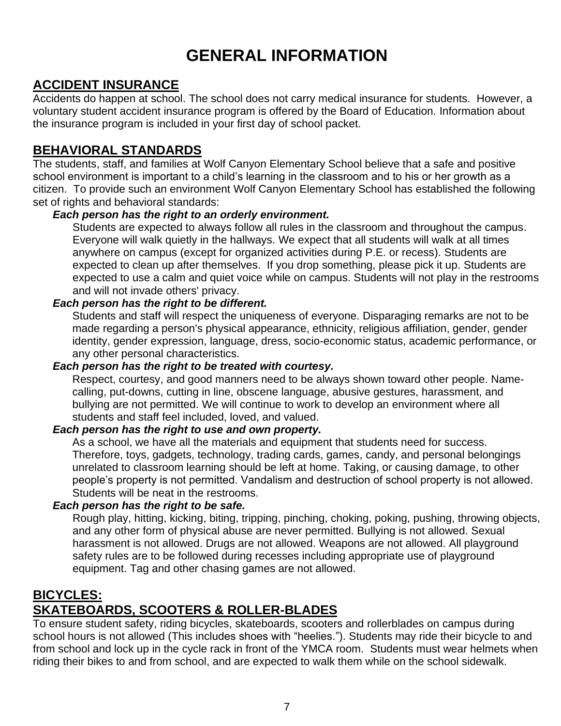## **GENERAL INFORMATION**

### <span id="page-6-1"></span><span id="page-6-0"></span>**ACCIDENT INSURANCE**

Accidents do happen at school. The school does not carry medical insurance for students. However, a voluntary student accident insurance program is offered by the Board of Education. Information about the insurance program is included in your first day of school packet.

### <span id="page-6-2"></span>**BEHAVIORAL STANDARDS**

The students, staff, and families at Wolf Canyon Elementary School believe that a safe and positive school environment is important to a child's learning in the classroom and to his or her growth as a citizen. To provide such an environment Wolf Canyon Elementary School has established the following set of rights and behavioral standards:

#### *Each person has the right to an orderly environment.*

Students are expected to always follow all rules in the classroom and throughout the campus. Everyone will walk quietly in the hallways. We expect that all students will walk at all times anywhere on campus (except for organized activities during P.E. or recess). Students are expected to clean up after themselves. If you drop something, please pick it up. Students are expected to use a calm and quiet voice while on campus. Students will not play in the restrooms and will not invade others' privacy.

#### *Each person has the right to be different.*

Students and staff will respect the uniqueness of everyone. Disparaging remarks are not to be made regarding a person's physical appearance, ethnicity, religious affiliation, gender, gender identity, gender expression, language, dress, socio-economic status, academic performance, or any other personal characteristics.

#### *Each person has the right to be treated with courtesy.*

Respect, courtesy, and good manners need to be always shown toward other people. Namecalling, put-downs, cutting in line, obscene language, abusive gestures, harassment, and bullying are not permitted. We will continue to work to develop an environment where all students and staff feel included, loved, and valued.

#### *Each person has the right to use and own property.*

As a school, we have all the materials and equipment that students need for success. Therefore, toys, gadgets, technology, trading cards, games, candy, and personal belongings unrelated to classroom learning should be left at home. Taking, or causing damage, to other people's property is not permitted. Vandalism and destruction of school property is not allowed. Students will be neat in the restrooms.

#### *Each person has the right to be safe.*

Rough play, hitting, kicking, biting, tripping, pinching, choking, poking, pushing, throwing objects, and any other form of physical abuse are never permitted. Bullying is not allowed. Sexual harassment is not allowed. Drugs are not allowed. Weapons are not allowed. All playground safety rules are to be followed during recesses including appropriate use of playground equipment. Tag and other chasing games are not allowed.

### <span id="page-6-3"></span>**BICYCLES: SKATEBOARDS, SCOOTERS & ROLLER-BLADES**

To ensure student safety, riding bicycles, skateboards, scooters and rollerblades on campus during school hours is not allowed (This includes shoes with "heelies."). Students may ride their bicycle to and from school and lock up in the cycle rack in front of the YMCA room. Students must wear helmets when riding their bikes to and from school, and are expected to walk them while on the school sidewalk.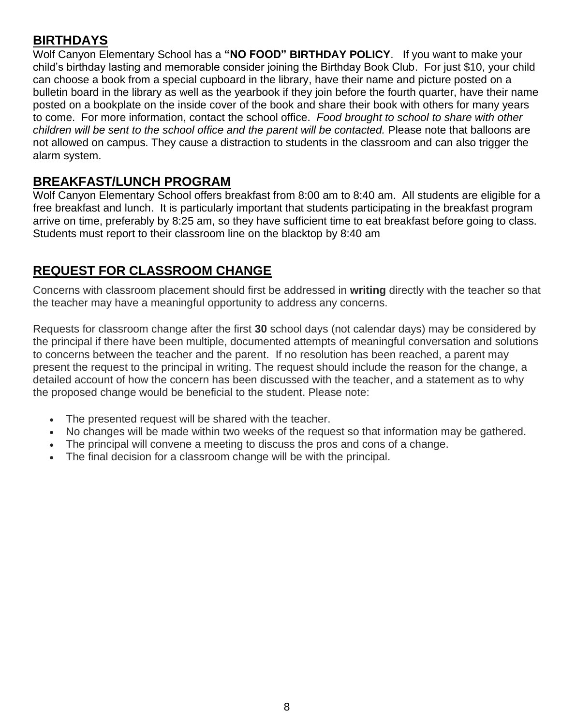### <span id="page-7-0"></span>**BIRTHDAYS**

Wolf Canyon Elementary School has a **"NO FOOD" BIRTHDAY POLICY**. If you want to make your child's birthday lasting and memorable consider joining the Birthday Book Club. For just \$10, your child can choose a book from a special cupboard in the library, have their name and picture posted on a bulletin board in the library as well as the yearbook if they join before the fourth quarter, have their name posted on a bookplate on the inside cover of the book and share their book with others for many years to come. For more information, contact the school office. *Food brought to school to share with other children will be sent to the school office and the parent will be contacted.* Please note that balloons are not allowed on campus. They cause a distraction to students in the classroom and can also trigger the alarm system.

### <span id="page-7-1"></span>**BREAKFAST/LUNCH PROGRAM**

Wolf Canyon Elementary School offers breakfast from 8:00 am to 8:40 am. All students are eligible for a free breakfast and lunch. It is particularly important that students participating in the breakfast program arrive on time, preferably by 8:25 am, so they have sufficient time to eat breakfast before going to class. Students must report to their classroom line on the blacktop by 8:40 am

### **REQUEST FOR CLASSROOM CHANGE**

Concerns with classroom placement should first be addressed in **writing** directly with the teacher so that the teacher may have a meaningful opportunity to address any concerns.

Requests for classroom change after the first **30** school days (not calendar days) may be considered by the principal if there have been multiple, documented attempts of meaningful conversation and solutions to concerns between the teacher and the parent. If no resolution has been reached, a parent may present the request to the principal in writing. The request should include the reason for the change, a detailed account of how the concern has been discussed with the teacher, and a statement as to why the proposed change would be beneficial to the student. Please note:

- The presented request will be shared with the teacher.
- No changes will be made within two weeks of the request so that information may be gathered.
- The principal will convene a meeting to discuss the pros and cons of a change.
- The final decision for a classroom change will be with the principal.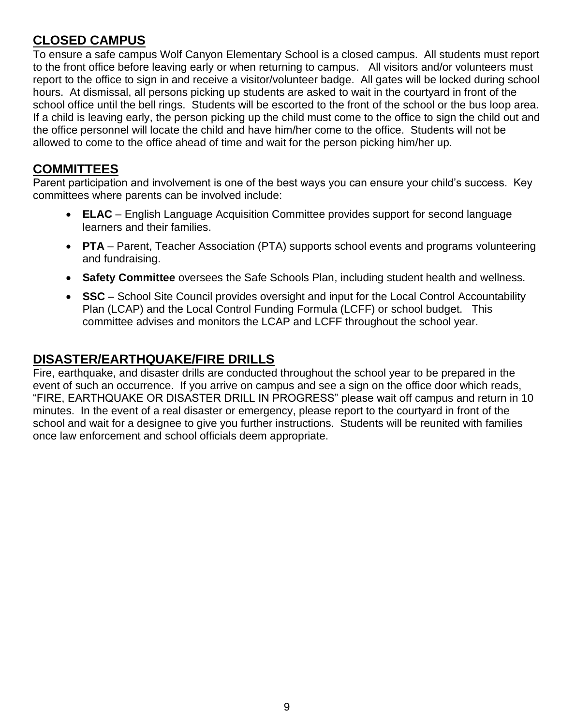### <span id="page-8-0"></span>**CLOSED CAMPUS**

To ensure a safe campus Wolf Canyon Elementary School is a closed campus. All students must report to the front office before leaving early or when returning to campus. All visitors and/or volunteers must report to the office to sign in and receive a visitor/volunteer badge. All gates will be locked during school hours. At dismissal, all persons picking up students are asked to wait in the courtyard in front of the school office until the bell rings. Students will be escorted to the front of the school or the bus loop area. If a child is leaving early, the person picking up the child must come to the office to sign the child out and the office personnel will locate the child and have him/her come to the office. Students will not be allowed to come to the office ahead of time and wait for the person picking him/her up.

#### <span id="page-8-1"></span>**COMMITTEES**

Parent participation and involvement is one of the best ways you can ensure your child's success. Key committees where parents can be involved include:

- **ELAC**  English Language Acquisition Committee provides support for second language learners and their families.
- **PTA** Parent, Teacher Association (PTA) supports school events and programs volunteering and fundraising.
- **Safety Committee** oversees the Safe Schools Plan, including student health and wellness.
- **SSC** School Site Council provides oversight and input for the Local Control Accountability Plan (LCAP) and the Local Control Funding Formula (LCFF) or school budget. This committee advises and monitors the LCAP and LCFF throughout the school year.

### <span id="page-8-2"></span>**DISASTER/EARTHQUAKE/FIRE DRILLS**

Fire, earthquake, and disaster drills are conducted throughout the school year to be prepared in the event of such an occurrence. If you arrive on campus and see a sign on the office door which reads, "FIRE, EARTHQUAKE OR DISASTER DRILL IN PROGRESS" please wait off campus and return in 10 minutes. In the event of a real disaster or emergency, please report to the courtyard in front of the school and wait for a designee to give you further instructions. Students will be reunited with families once law enforcement and school officials deem appropriate.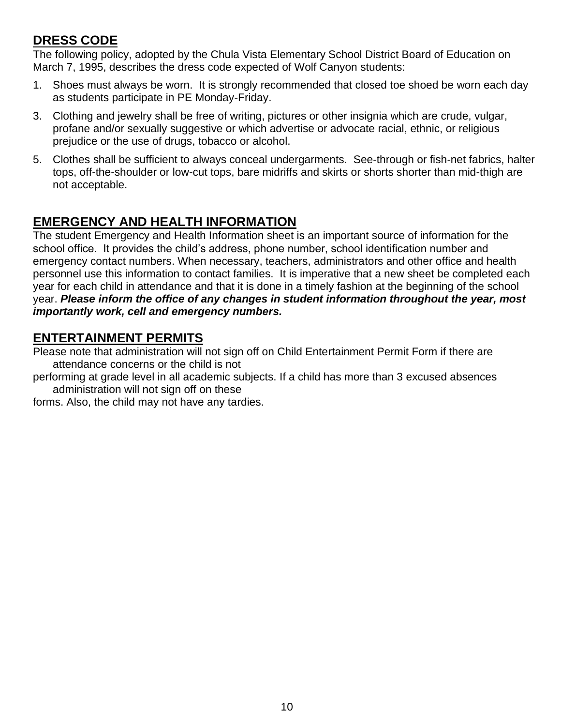### <span id="page-9-0"></span>**DRESS CODE**

The following policy, adopted by the Chula Vista Elementary School District Board of Education on March 7, 1995, describes the dress code expected of Wolf Canyon students:

- 1. Shoes must always be worn. It is strongly recommended that closed toe shoed be worn each day as students participate in PE Monday-Friday.
- 3. Clothing and jewelry shall be free of writing, pictures or other insignia which are crude, vulgar, profane and/or sexually suggestive or which advertise or advocate racial, ethnic, or religious prejudice or the use of drugs, tobacco or alcohol.
- 5. Clothes shall be sufficient to always conceal undergarments. See-through or fish-net fabrics, halter tops, off-the-shoulder or low-cut tops, bare midriffs and skirts or shorts shorter than mid-thigh are not acceptable.

### <span id="page-9-1"></span>**EMERGENCY AND HEALTH INFORMATION**

The student Emergency and Health Information sheet is an important source of information for the school office. It provides the child's address, phone number, school identification number and emergency contact numbers. When necessary, teachers, administrators and other office and health personnel use this information to contact families. It is imperative that a new sheet be completed each year for each child in attendance and that it is done in a timely fashion at the beginning of the school year. *Please inform the office of any changes in student information throughout the year, most importantly work, cell and emergency numbers.*

### <span id="page-9-2"></span>**ENTERTAINMENT PERMITS**

Please note that administration will not sign off on Child Entertainment Permit Form if there are attendance concerns or the child is not

performing at grade level in all academic subjects. If a child has more than 3 excused absences administration will not sign off on these

forms. Also, the child may not have any tardies.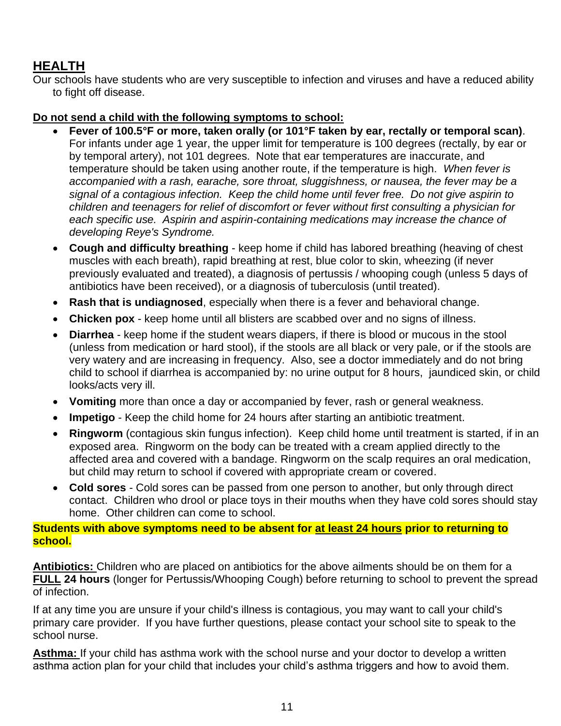### <span id="page-10-0"></span>**HEALTH**

Our schools have students who are very susceptible to infection and viruses and have a reduced ability to fight off disease.

#### **Do not send a child with the following symptoms to school:**

- **Fever of 100.5°F or more, taken orally (or 101°F taken by ear, rectally or temporal scan)**. For infants under age 1 year, the upper limit for temperature is 100 degrees (rectally, by ear or by temporal artery), not 101 degrees. Note that ear temperatures are inaccurate, and temperature should be taken using another route, if the temperature is high. *When fever is accompanied with a rash, earache, sore throat, sluggishness, or nausea, the fever may be a signal of a contagious infection. Keep the child home until fever free. Do not give aspirin to children and teenagers for relief of discomfort or fever without first consulting a physician for each specific use. Aspirin and aspirin-containing medications may increase the chance of developing Reye's Syndrome.*
- **Cough and difficulty breathing** keep home if child has labored breathing (heaving of chest muscles with each breath), rapid breathing at rest, blue color to skin, wheezing (if never previously evaluated and treated), a diagnosis of pertussis / whooping cough (unless 5 days of antibiotics have been received), or a diagnosis of tuberculosis (until treated).
- **Rash that is undiagnosed**, especially when there is a fever and behavioral change.
- **Chicken pox** keep home until all blisters are scabbed over and no signs of illness.
- **Diarrhea**  keep home if the student wears diapers, if there is blood or mucous in the stool (unless from medication or hard stool), if the stools are all black or very pale, or if the stools are very watery and are increasing in frequency. Also, see a doctor immediately and do not bring child to school if diarrhea is accompanied by: no urine output for 8 hours, jaundiced skin, or child looks/acts very ill.
- **Vomiting** more than once a day or accompanied by fever, rash or general weakness.
- **Impetigo** Keep the child home for 24 hours after starting an antibiotic treatment.
- **Ringworm** (contagious skin fungus infection). Keep child home until treatment is started, if in an exposed area. Ringworm on the body can be treated with a cream applied directly to the affected area and covered with a bandage. Ringworm on the scalp requires an oral medication, but child may return to school if covered with appropriate cream or covered.
- **Cold sores** Cold sores can be passed from one person to another, but only through direct contact. Children who drool or place toys in their mouths when they have cold sores should stay home. Other children can come to school.

#### **Students with above symptoms need to be absent for at least 24 hours prior to returning to school.**

**Antibiotics:** Children who are placed on antibiotics for the above ailments should be on them for a **FULL 24 hours** (longer for Pertussis/Whooping Cough) before returning to school to prevent the spread of infection.

If at any time you are unsure if your child's illness is contagious, you may want to call your child's primary care provider. If you have further questions, please contact your school site to speak to the school nurse.

**Asthma:** If your child has asthma work with the school nurse and your doctor to develop a written asthma action plan for your child that includes your child's asthma triggers and how to avoid them.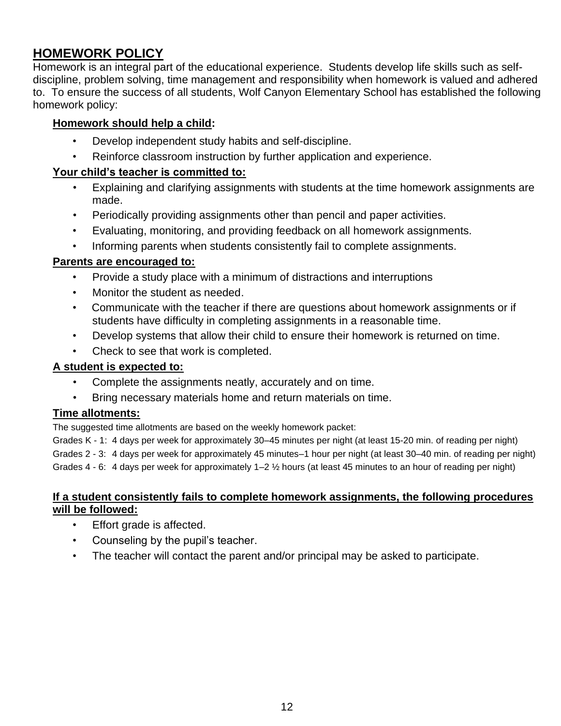### <span id="page-11-0"></span>**HOMEWORK POLICY**

Homework is an integral part of the educational experience. Students develop life skills such as selfdiscipline, problem solving, time management and responsibility when homework is valued and adhered to. To ensure the success of all students, Wolf Canyon Elementary School has established the following homework policy:

#### **Homework should help a child:**

- Develop independent study habits and self-discipline.
- Reinforce classroom instruction by further application and experience.

#### **Your child's teacher is committed to:**

- Explaining and clarifying assignments with students at the time homework assignments are made.
- Periodically providing assignments other than pencil and paper activities.
- Evaluating, monitoring, and providing feedback on all homework assignments.
- Informing parents when students consistently fail to complete assignments.

#### **Parents are encouraged to:**

- Provide a study place with a minimum of distractions and interruptions
- Monitor the student as needed.
- Communicate with the teacher if there are questions about homework assignments or if students have difficulty in completing assignments in a reasonable time.
- Develop systems that allow their child to ensure their homework is returned on time.
- Check to see that work is completed.

#### **A student is expected to:**

- Complete the assignments neatly, accurately and on time.
- Bring necessary materials home and return materials on time.

#### **Time allotments:**

The suggested time allotments are based on the weekly homework packet:

Grades K - 1: 4 days per week for approximately 30–45 minutes per night (at least 15-20 min. of reading per night) Grades 2 - 3: 4 days per week for approximately 45 minutes–1 hour per night (at least 30–40 min. of reading per night) Grades 4 - 6: 4 days per week for approximately 1–2 ½ hours (at least 45 minutes to an hour of reading per night)

#### **If a student consistently fails to complete homework assignments, the following procedures will be followed:**

- Effort grade is affected.
- Counseling by the pupil's teacher.
- The teacher will contact the parent and/or principal may be asked to participate.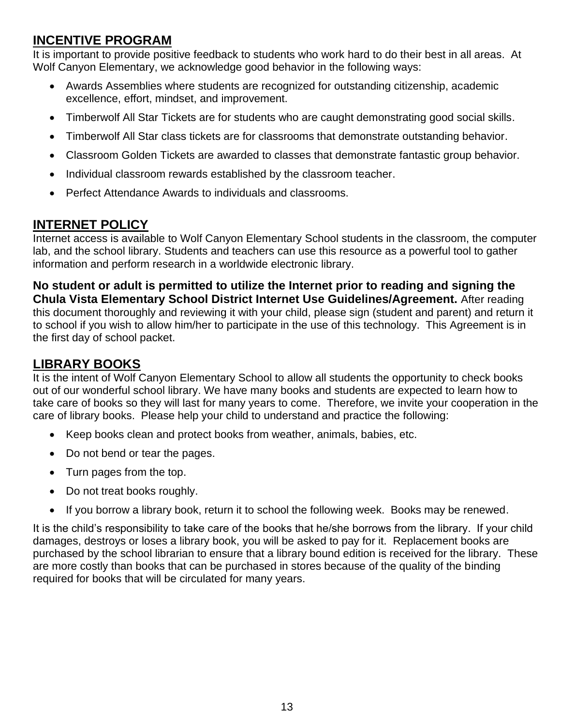### <span id="page-12-0"></span>**INCENTIVE PROGRAM**

It is important to provide positive feedback to students who work hard to do their best in all areas. At Wolf Canyon Elementary, we acknowledge good behavior in the following ways:

- Awards Assemblies where students are recognized for outstanding citizenship, academic excellence, effort, mindset, and improvement.
- Timberwolf All Star Tickets are for students who are caught demonstrating good social skills.
- Timberwolf All Star class tickets are for classrooms that demonstrate outstanding behavior.
- Classroom Golden Tickets are awarded to classes that demonstrate fantastic group behavior.
- Individual classroom rewards established by the classroom teacher.
- Perfect Attendance Awards to individuals and classrooms.

### <span id="page-12-1"></span>**INTERNET POLICY**

Internet access is available to Wolf Canyon Elementary School students in the classroom, the computer lab, and the school library. Students and teachers can use this resource as a powerful tool to gather information and perform research in a worldwide electronic library.

**No student or adult is permitted to utilize the Internet prior to reading and signing the Chula Vista Elementary School District Internet Use Guidelines/Agreement.** After reading this document thoroughly and reviewing it with your child, please sign (student and parent) and return it to school if you wish to allow him/her to participate in the use of this technology. This Agreement is in the first day of school packet.

### <span id="page-12-2"></span>**LIBRARY BOOKS**

It is the intent of Wolf Canyon Elementary School to allow all students the opportunity to check books out of our wonderful school library. We have many books and students are expected to learn how to take care of books so they will last for many years to come. Therefore, we invite your cooperation in the care of library books. Please help your child to understand and practice the following:

- Keep books clean and protect books from weather, animals, babies, etc.
- Do not bend or tear the pages.
- Turn pages from the top.
- Do not treat books roughly.
- If you borrow a library book, return it to school the following week. Books may be renewed.

It is the child's responsibility to take care of the books that he/she borrows from the library. If your child damages, destroys or loses a library book, you will be asked to pay for it. Replacement books are purchased by the school librarian to ensure that a library bound edition is received for the library. These are more costly than books that can be purchased in stores because of the quality of the binding required for books that will be circulated for many years.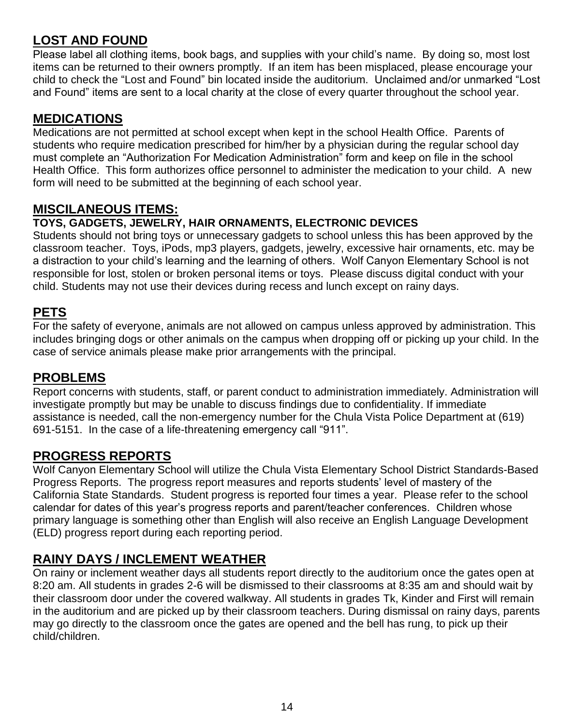### <span id="page-13-0"></span>**LOST AND FOUND**

Please label all clothing items, book bags, and supplies with your child's name. By doing so, most lost items can be returned to their owners promptly. If an item has been misplaced, please encourage your child to check the "Lost and Found" bin located inside the auditorium. Unclaimed and/or unmarked "Lost and Found" items are sent to a local charity at the close of every quarter throughout the school year.

#### <span id="page-13-1"></span>**MEDICATIONS**

Medications are not permitted at school except when kept in the school Health Office. Parents of students who require medication prescribed for him/her by a physician during the regular school day must complete an "Authorization For Medication Administration" form and keep on file in the school Health Office. This form authorizes office personnel to administer the medication to your child. A new form will need to be submitted at the beginning of each school year.

#### <span id="page-13-2"></span>**MISCILANEOUS ITEMS:**

#### **TOYS, GADGETS, JEWELRY, HAIR ORNAMENTS, ELECTRONIC DEVICES**

Students should not bring toys or unnecessary gadgets to school unless this has been approved by the classroom teacher. Toys, iPods, mp3 players, gadgets, jewelry, excessive hair ornaments, etc. may be a distraction to your child's learning and the learning of others. Wolf Canyon Elementary School is not responsible for lost, stolen or broken personal items or toys. Please discuss digital conduct with your child. Students may not use their devices during recess and lunch except on rainy days.

#### <span id="page-13-3"></span>**PETS**

For the safety of everyone, animals are not allowed on campus unless approved by administration. This includes bringing dogs or other animals on the campus when dropping off or picking up your child. In the case of service animals please make prior arrangements with the principal.

#### <span id="page-13-4"></span>**PROBLEMS**

Report concerns with students, staff, or parent conduct to administration immediately. Administration will investigate promptly but may be unable to discuss findings due to confidentiality. If immediate assistance is needed, call the non-emergency number for the Chula Vista Police Department at (619) 691-5151. In the case of a life-threatening emergency call "911".

### <span id="page-13-5"></span>**PROGRESS REPORTS**

Wolf Canyon Elementary School will utilize the Chula Vista Elementary School District Standards-Based Progress Reports. The progress report measures and reports students' level of mastery of the California State Standards. Student progress is reported four times a year. Please refer to the school calendar for dates of this year's progress reports and parent/teacher conferences. Children whose primary language is something other than English will also receive an English Language Development (ELD) progress report during each reporting period.

### <span id="page-13-6"></span>**RAINY DAYS / INCLEMENT WEATHER**

On rainy or inclement weather days all students report directly to the auditorium once the gates open at 8:20 am. All students in grades 2-6 will be dismissed to their classrooms at 8:35 am and should wait by their classroom door under the covered walkway. All students in grades Tk, Kinder and First will remain in the auditorium and are picked up by their classroom teachers. During dismissal on rainy days, parents may go directly to the classroom once the gates are opened and the bell has rung, to pick up their child/children.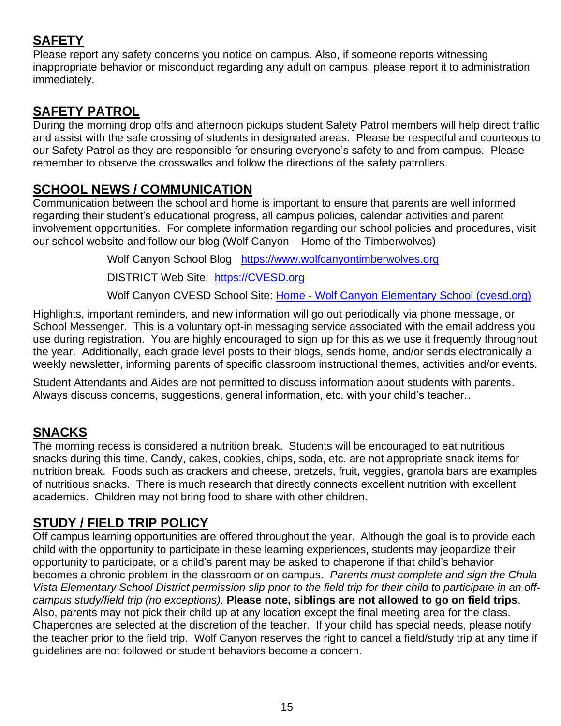### <span id="page-14-0"></span>**SAFETY**

Please report any safety concerns you notice on campus. Also, if someone reports witnessing inappropriate behavior or misconduct regarding any adult on campus, please report it to administration immediately.

### <span id="page-14-1"></span>**SAFETY PATROL**

During the morning drop offs and afternoon pickups student Safety Patrol members will help direct traffic and assist with the safe crossing of students in designated areas. Please be respectful and courteous to our Safety Patrol as they are responsible for ensuring everyone's safety to and from campus. Please remember to observe the crosswalks and follow the directions of the safety patrollers.

### <span id="page-14-2"></span>**SCHOOL NEWS / COMMUNICATION**

Communication between the school and home is important to ensure that parents are well informed regarding their student's educational progress, all campus policies, calendar activities and parent involvement opportunities. For complete information regarding our school policies and procedures, visit our school website and follow our blog (Wolf Canyon – Home of the Timberwolves)

Wolf Canyon School Blog [https://www.wolfcanyontimberwolves.org](https://www.wolfcanyontimberwolves.org/)

DISTRICT Web Site: [https://CVESD.org](https://cvesd.org/)

Wolf Canyon CVESD School Site: Home - [Wolf Canyon Elementary School \(cvesd.org\)](https://wolfcanyon.cvesd.org/)

Highlights, important reminders, and new information will go out periodically via phone message, or School Messenger. This is a voluntary opt-in messaging service associated with the email address you use during registration. You are highly encouraged to sign up for this as we use it frequently throughout the year. Additionally, each grade level posts to their blogs, sends home, and/or sends electronically a weekly newsletter, informing parents of specific classroom instructional themes, activities and/or events.

Student Attendants and Aides are not permitted to discuss information about students with parents. Always discuss concerns, suggestions, general information, etc. with your child's teacher..

### <span id="page-14-3"></span>**SNACKS**

The morning recess is considered a nutrition break. Students will be encouraged to eat nutritious snacks during this time. Candy, cakes, cookies, chips, soda, etc. are not appropriate snack items for nutrition break. Foods such as crackers and cheese, pretzels, fruit, veggies, granola bars are examples of nutritious snacks. There is much research that directly connects excellent nutrition with excellent academics. Children may not bring food to share with other children.

### <span id="page-14-4"></span>**STUDY / FIELD TRIP POLICY**

Off campus learning opportunities are offered throughout the year. Although the goal is to provide each child with the opportunity to participate in these learning experiences, students may jeopardize their opportunity to participate, or a child's parent may be asked to chaperone if that child's behavior becomes a chronic problem in the classroom or on campus. *Parents must complete and sign the Chula Vista Elementary School District permission slip prior to the field trip for their child to participate in an offcampus study/field trip (no exceptions).* **Please note, siblings are not allowed to go on field trips**. Also, parents may not pick their child up at any location except the final meeting area for the class. Chaperones are selected at the discretion of the teacher. If your child has special needs, please notify the teacher prior to the field trip. Wolf Canyon reserves the right to cancel a field/study trip at any time if guidelines are not followed or student behaviors become a concern.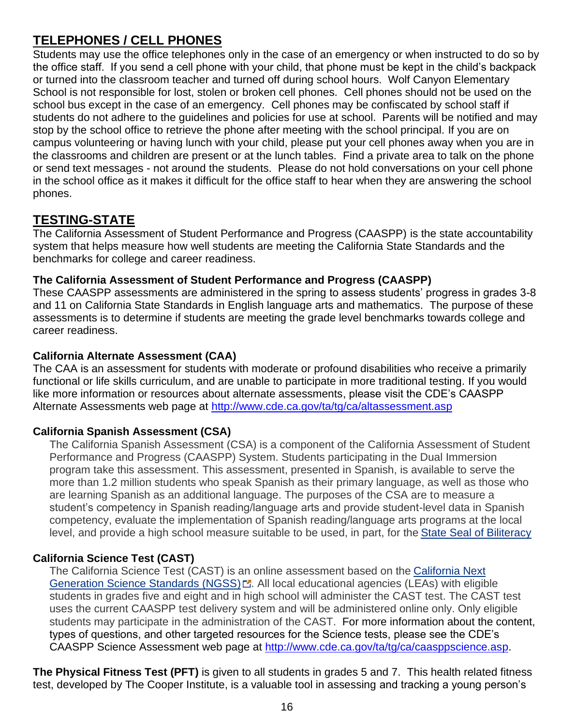### <span id="page-15-0"></span>**TELEPHONES / CELL PHONES**

Students may use the office telephones only in the case of an emergency or when instructed to do so by the office staff. If you send a cell phone with your child, that phone must be kept in the child's backpack or turned into the classroom teacher and turned off during school hours. Wolf Canyon Elementary School is not responsible for lost, stolen or broken cell phones. Cell phones should not be used on the school bus except in the case of an emergency. Cell phones may be confiscated by school staff if students do not adhere to the guidelines and policies for use at school. Parents will be notified and may stop by the school office to retrieve the phone after meeting with the school principal. If you are on campus volunteering or having lunch with your child, please put your cell phones away when you are in the classrooms and children are present or at the lunch tables. Find a private area to talk on the phone or send text messages - not around the students. Please do not hold conversations on your cell phone in the school office as it makes it difficult for the office staff to hear when they are answering the school phones.

### <span id="page-15-1"></span>**TESTING-STATE**

The California Assessment of Student Performance and Progress (CAASPP) is the state accountability system that helps measure how well students are meeting the California State Standards and the benchmarks for college and career readiness.

#### **The California Assessment of Student Performance and Progress (CAASPP)**

These CAASPP assessments are administered in the spring to assess students' progress in grades 3-8 and 11 on California State Standards in English language arts and mathematics. The purpose of these assessments is to determine if students are meeting the grade level benchmarks towards college and career readiness.

#### **California Alternate Assessment (CAA)**

The CAA is an assessment for students with moderate or profound disabilities who receive a primarily functional or life skills curriculum, and are unable to participate in more traditional testing. If you would like more information or resources about alternate assessments, please visit the CDE's CAASPP Alternate Assessments web page at <http://www.cde.ca.gov/ta/tg/ca/altassessment.asp>

#### **California Spanish Assessment (CSA)**

The California Spanish Assessment (CSA) is a component of the California Assessment of Student Performance and Progress (CAASPP) System. Students participating in the Dual Immersion program take this assessment. This assessment, presented in Spanish, is available to serve the more than 1.2 million students who speak Spanish as their primary language, as well as those who are learning Spanish as an additional language. The purposes of the CSA are to measure a student's competency in Spanish reading/language arts and provide student-level data in Spanish competency, evaluate the implementation of Spanish reading/language arts programs at the local level, and provide a high school measure suitable to be used, in part, for the [State Seal of Biliteracy](https://www.cde.ca.gov/sp/el/er/sealofbiliteracy.asp)

#### **California Science Test (CAST)**

The California Science Test (CAST) is an online assessment based on the [California Next](https://www.cde.ca.gov/pd/ca/sc/ngssstandards.asp)  [Generation Science Standards \(NGSS\)](https://www.cde.ca.gov/pd/ca/sc/ngssstandards.asp) $\mathbb{Z}$ . All local educational agencies (LEAs) with eligible students in grades five and eight and in high school will administer the CAST test. The CAST test uses the current CAASPP test delivery system and will be administered online only. Only eligible students may participate in the administration of the CAST. For more information about the content, types of questions, and other targeted resources for the Science tests, please see the CDE's CAASPP Science Assessment web page at [http://www.cde.ca.gov/ta/tg/ca/caasppscience.asp.](http://www.cde.ca.gov/ta/tg/ca/caasppscience.asp)

**The Physical Fitness Test (PFT)** is given to all students in grades 5 and 7. This health related fitness test, developed by The Cooper Institute, is a valuable tool in assessing and tracking a young person's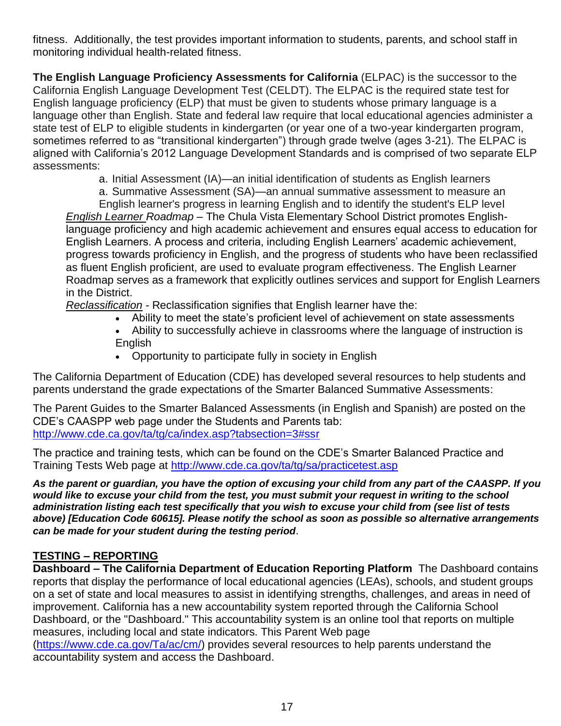fitness. Additionally, the test provides important information to students, parents, and school staff in monitoring individual health-related fitness.

**The English Language Proficiency Assessments for California** (ELPAC) is the successor to the California English Language Development Test (CELDT). The ELPAC is the required state test for English language proficiency (ELP) that must be given to students whose primary language is a language other than English. State and federal law require that local educational agencies administer a state test of ELP to eligible students in kindergarten (or year one of a two-year kindergarten program, sometimes referred to as "transitional kindergarten") through grade twelve (ages 3-21). The ELPAC is aligned with California's 2012 Language Development Standards and is comprised of two separate ELP assessments:

a. Initial Assessment (IA)—an initial identification of students as English learners

a. Summative Assessment (SA)—an annual summative assessment to measure an

English learner's progress in learning English and to identify the student's ELP level *English Learner Roadmap* – The Chula Vista Elementary School District promotes Englishlanguage proficiency and high academic achievement and ensures equal access to education for English Learners. A process and criteria, including English Learners' academic achievement, progress towards proficiency in English, and the progress of students who have been reclassified as fluent English proficient, are used to evaluate program effectiveness. The English Learner Roadmap serves as a framework that explicitly outlines services and support for English Learners in the District.

*Reclassification -* Reclassification signifies that English learner have the:

- Ability to meet the state's proficient level of achievement on state assessments
- Ability to successfully achieve in classrooms where the language of instruction is English
- Opportunity to participate fully in society in English

The California Department of Education (CDE) has developed several resources to help students and parents understand the grade expectations of the Smarter Balanced Summative Assessments:

The Parent Guides to the Smarter Balanced Assessments (in English and Spanish) are posted on the CDE's CAASPP web page under the Students and Parents tab: <http://www.cde.ca.gov/ta/tg/ca/index.asp?tabsection=3#ssr>

The practice and training tests, which can be found on the CDE's Smarter Balanced Practice and Training Tests Web page at <http://www.cde.ca.gov/ta/tg/sa/practicetest.asp>

*As the parent or guardian, you have the option of excusing your child from any part of the CAASPP. If you would like to excuse your child from the test, you must submit your request in writing to the school administration listing each test specifically that you wish to excuse your child from (see list of tests above) [Education Code 60615]. Please notify the school as soon as possible so alternative arrangements can be made for your student during the testing period*.

#### **TESTING – REPORTING**

**Dashboard – The California Department of Education Reporting Platform** The Dashboard contains reports that display the performance of local educational agencies (LEAs), schools, and student groups on a set of state and local measures to assist in identifying strengths, challenges, and areas in need of improvement. California has a new accountability system reported through the California School Dashboard, or the "Dashboard." This accountability system is an online tool that reports on multiple measures, including local and state indicators. This Parent Web page

([https://www.cde.ca.gov/Ta/ac/cm/\)](https://www.cde.ca.gov/Ta/ac/cm/) provides several resources to help parents understand the accountability system and access the Dashboard.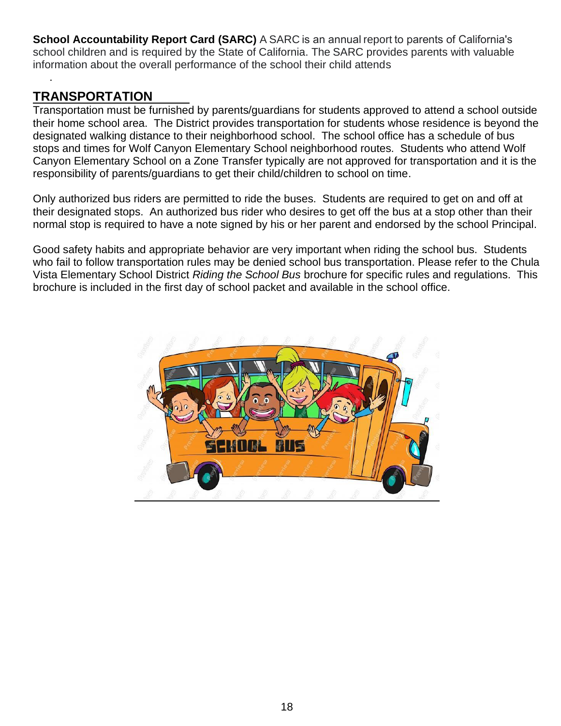**School Accountability Report Card (SARC)** A SARC is an annual report to parents of California's school children and is required by the State of California. The SARC provides parents with valuable information about the overall performance of the school their child attends

### <span id="page-17-0"></span>**TRANSPORTATION**

.

Transportation must be furnished by parents/guardians for students approved to attend a school outside their home school area. The District provides transportation for students whose residence is beyond the designated walking distance to their neighborhood school. The school office has a schedule of bus stops and times for Wolf Canyon Elementary School neighborhood routes. Students who attend Wolf Canyon Elementary School on a Zone Transfer typically are not approved for transportation and it is the responsibility of parents/guardians to get their child/children to school on time.

Only authorized bus riders are permitted to ride the buses. Students are required to get on and off at their designated stops. An authorized bus rider who desires to get off the bus at a stop other than their normal stop is required to have a note signed by his or her parent and endorsed by the school Principal.

Good safety habits and appropriate behavior are very important when riding the school bus. Students who fail to follow transportation rules may be denied school bus transportation. Please refer to the Chula Vista Elementary School District *Riding the School Bus* brochure for specific rules and regulations. This brochure is included in the first day of school packet and available in the school office.